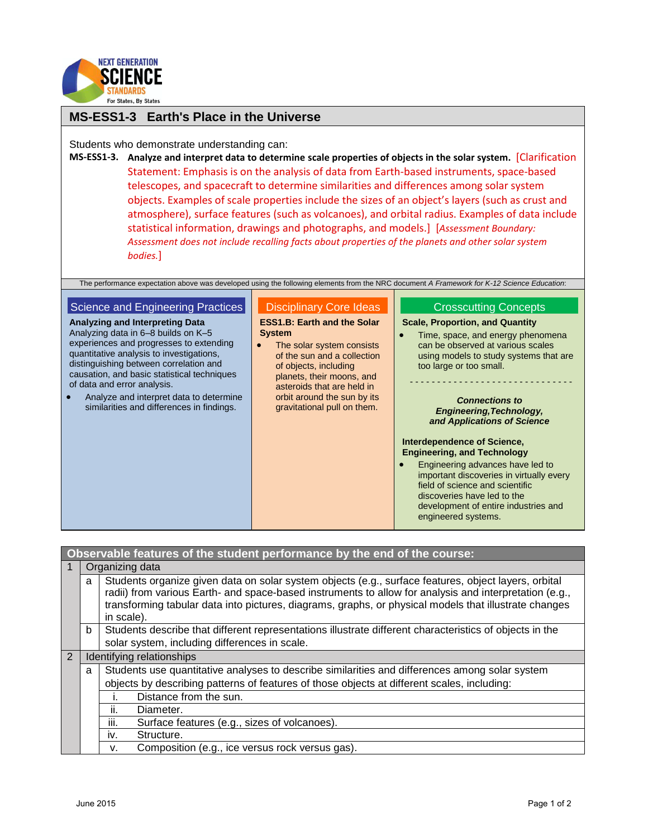

# **MS-ESS1-3 Earth's Place in the Universe**

Students who demonstrate understanding can:

**MS-ESS1-3. Analyze and interpret data to determine scale properties of objects in the solar system.** [Clarification Statement: Emphasis is on the analysis of data from Earth-based instruments, space-based telescopes, and spacecraft to determine similarities and differences among solar system objects. Examples of scale properties include the sizes of an object's layers (such as crust and atmosphere), surface features (such as volcanoes), and orbital radius. Examples of data include statistical information, drawings and photographs, and models.] [*Assessment Boundary: Assessment does not include recalling facts about properties of the planets and other solar system bodies.*]

The performance expectation above was developed using the following elements from the NRC document *A Framework for K-12 Science Education*:

#### Science and Engineering Practices **Analyzing and Interpreting Data** Analyzing data in 6–8 builds on K–5 Disciplinary Core Ideas **System**

experiences and progresses to extending quantitative analysis to investigations, distinguishing between correlation and causation, and basic statistical techniques of data and error analysis.

• Analyze and interpret data to determine similarities and differences in findings.

**ESS1.B: Earth and the Solar** 

• The solar system consists of the sun and a collection of objects, including planets, their moons, and asteroids that are held in orbit around the sun by its gravitational pull on them.

## Crosscutting Concepts

### **Scale, Proportion, and Quantity**

• Time, space, and energy phenomena can be observed at various scales using models to study systems that are too large or too small.

- - - - - - - - - - - - - - - - - - - - - - - - - - - - - -

#### *Connections to Engineering,Technology, and Applications of Science*

### **Interdependence of Science, Engineering, and Technology**

**Engineering advances have led to** important discoveries in virtually every field of science and scientific discoveries have led to the development of entire industries and engineered systems.

| Observable features of the student performance by the end of the course: |   |                                                                                                                                                                                                                                                                                                                                       |  |  |
|--------------------------------------------------------------------------|---|---------------------------------------------------------------------------------------------------------------------------------------------------------------------------------------------------------------------------------------------------------------------------------------------------------------------------------------|--|--|
|                                                                          |   | Organizing data                                                                                                                                                                                                                                                                                                                       |  |  |
|                                                                          | a | Students organize given data on solar system objects (e.g., surface features, object layers, orbital<br>radii) from various Earth- and space-based instruments to allow for analysis and interpretation (e.g.,<br>transforming tabular data into pictures, diagrams, graphs, or physical models that illustrate changes<br>in scale). |  |  |
|                                                                          | b | Students describe that different representations illustrate different characteristics of objects in the                                                                                                                                                                                                                               |  |  |
|                                                                          |   | solar system, including differences in scale.                                                                                                                                                                                                                                                                                         |  |  |
| $\overline{2}$                                                           |   | Identifying relationships                                                                                                                                                                                                                                                                                                             |  |  |
|                                                                          | a | Students use quantitative analyses to describe similarities and differences among solar system                                                                                                                                                                                                                                        |  |  |
|                                                                          |   | objects by describing patterns of features of those objects at different scales, including:                                                                                                                                                                                                                                           |  |  |
|                                                                          |   | Distance from the sun.                                                                                                                                                                                                                                                                                                                |  |  |
|                                                                          |   | ii.<br>Diameter.                                                                                                                                                                                                                                                                                                                      |  |  |
|                                                                          |   | iii.<br>Surface features (e.g., sizes of volcanoes).                                                                                                                                                                                                                                                                                  |  |  |
|                                                                          |   |                                                                                                                                                                                                                                                                                                                                       |  |  |
|                                                                          |   | Structure.<br>İV.                                                                                                                                                                                                                                                                                                                     |  |  |